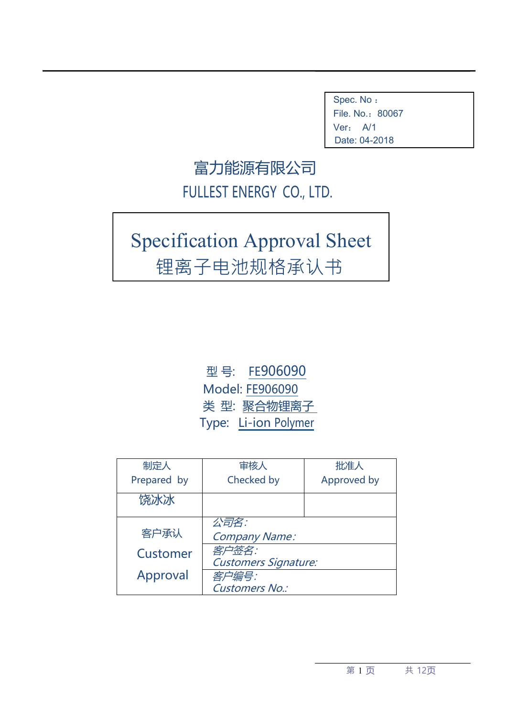Spec. No : File. No.: 80067 Ver: A/1 Date: 04-2018

## 富力能源有限公司 FULLEST ENERGY CO., LTD.

# Specification Approval Sheet 锂离子电池规格承认书

型 号: FE906090 Model: FE906090 类 型: 聚合物锂离子 Type: Li-ion Polymer

| 制定人         | 审核人                         | 批准人         |
|-------------|-----------------------------|-------------|
| Prepared by | Checked by                  | Approved by |
| 饶冰冰         |                             |             |
|             | 公司名:                        |             |
| 客户承认        | <b>Company Name:</b>        |             |
| Customer    | 客户签名:                       |             |
|             | <b>Customers Signature:</b> |             |
| Approval    | 客户编号:                       |             |
|             | <b>Customers No.:</b>       |             |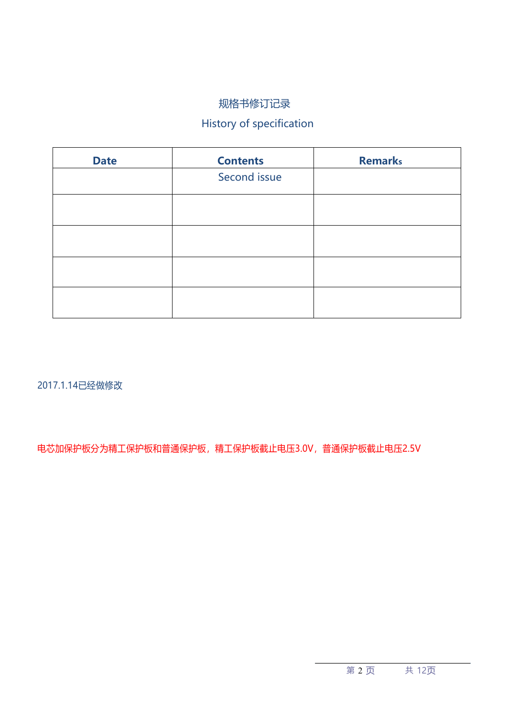#### 规格书修订记录

### History of specification

| <b>Date</b> | <b>Contents</b> | <b>Remarks</b> |
|-------------|-----------------|----------------|
|             | Second issue    |                |
|             |                 |                |
|             |                 |                |
|             |                 |                |
|             |                 |                |
|             |                 |                |
|             |                 |                |
|             |                 |                |

2017.1.14已经做修改

电芯加保护板分为精工保护板和普通保护板,精工保护板截止电压3.0V,普通保护板截止电压2.5V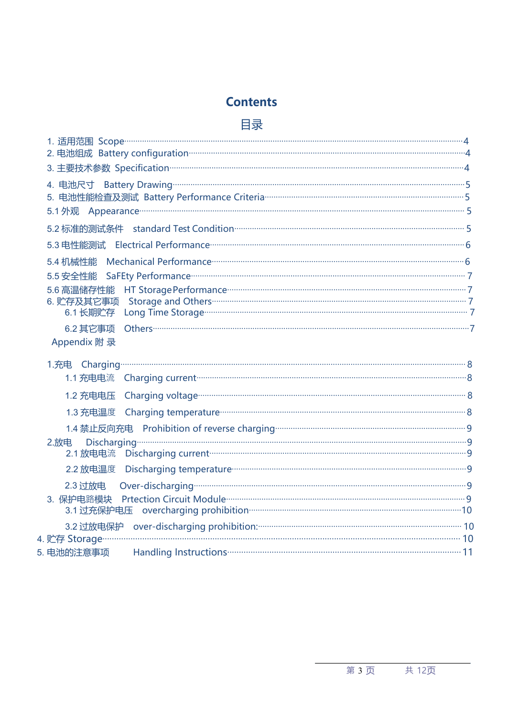### **Contents**

### 目录

| Appendix 附 录 |  |
|--------------|--|
|              |  |

| 1.3 充电温度 Charging temperature <b>compone contract contract and contract a</b> 8                                                                                                                                                    |
|------------------------------------------------------------------------------------------------------------------------------------------------------------------------------------------------------------------------------------|
|                                                                                                                                                                                                                                    |
|                                                                                                                                                                                                                                    |
|                                                                                                                                                                                                                                    |
|                                                                                                                                                                                                                                    |
|                                                                                                                                                                                                                                    |
|                                                                                                                                                                                                                                    |
| 4. 贮存 Storage <u>2000 communication and</u> the contract of the storage of the storage of the storage of the storage of the storage of the storage of the storage of the storage of the storage of the storage of the storage of t |
|                                                                                                                                                                                                                                    |
|                                                                                                                                                                                                                                    |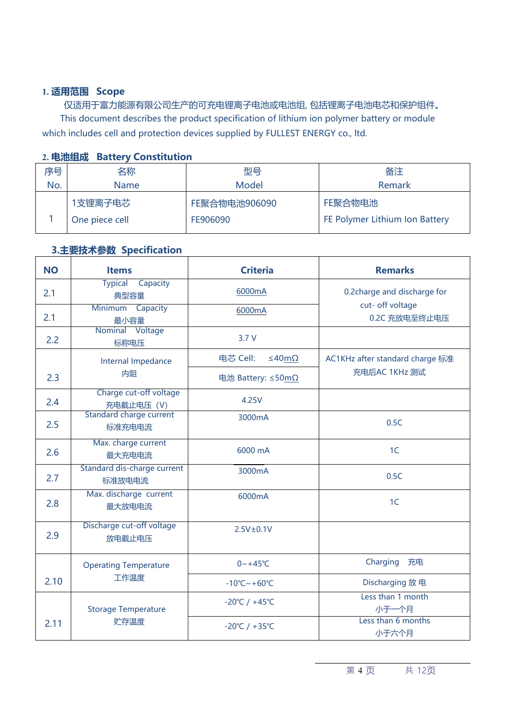#### **1. 适用范围 Scope**

仅适用于富力能源有限公司生产的可充电锂离子电池或电池组, 包括锂离子电池电芯和保护组件。 This document describes the product specification of lithium ion polymer battery or module which includes cell and protection devices supplied by FULLEST ENERGY co., ltd.

| <b>4. TO/USERA</b> | <b>DATICIA CONSULTATION</b> |               |                                |
|--------------------|-----------------------------|---------------|--------------------------------|
| 序号                 | 名称                          | 型号            | 备注                             |
| No.                | Name                        | Model         | Remark                         |
|                    | 1支锂离子电芯                     | FE聚合物电池906090 | FE聚合物电池                        |
|                    | One piece cell              | FE906090      | FE Polymer Lithium Ion Battery |
|                    |                             |               |                                |

#### **2. 电池组成 Battery Constitution**

#### **3.主要技术参数 Specification**

| <b>NO</b> | <b>Items</b>                             | <b>Criteria</b>                    | <b>Remarks</b>                    |
|-----------|------------------------------------------|------------------------------------|-----------------------------------|
| 2.1       | <b>Typical</b><br>Capacity<br>典型容量       | 6000mA                             | 0.2 charge and discharge for      |
| 2.1       | Minimum Capacity<br>最小容量                 | 6000mA                             | cut- off voltage<br>0.2C 充放电至终止电压 |
| 2.2       | Nominal Voltage<br>标称电压                  | 3.7 V                              |                                   |
|           | Internal Impedance                       | 电芯 Cell:<br>≤40mΩ                  | AC1KHz after standard charge 标准   |
| 2.3       | 内阻                                       | 电池 Battery: ≤50mΩ                  | 充电后AC 1KHz 测试                     |
| 2.4       | Charge cut-off voltage<br>充电截止电压 (V)     | 4.25V                              |                                   |
| 2.5       | <b>Standard charge current</b><br>标准充电电流 | 3000mA                             | 0.5C                              |
| 2.6       | Max. charge current<br>最大充电电流            | 6000 mA                            | 1 <sup>C</sup>                    |
| 2.7       | Standard dis-charge current<br>标准放电电流    | 3000mA                             | 0.5C                              |
| 2.8       | Max. discharge current<br>最大放电电流         | 6000mA                             | 1 <sup>C</sup>                    |
| 2.9       | Discharge cut-off voltage<br>放电截止电压      | $2.5V\pm0.1V$                      |                                   |
|           | <b>Operating Temperature</b>             | $0 - +45$ °C                       | Charging 充电                       |
| 2.10      | 工作温度                                     | $-10^{\circ}$ C ~ +60 $^{\circ}$ C | Discharging 放电                    |
|           | <b>Storage Temperature</b>               | $-20^{\circ}C / +45^{\circ}C$      | Less than 1 month<br>小于一个月        |
| 2.11      | 贮存温度                                     | $-20^{\circ}C / +35^{\circ}C$      | Less than 6 months<br>小于六个月       |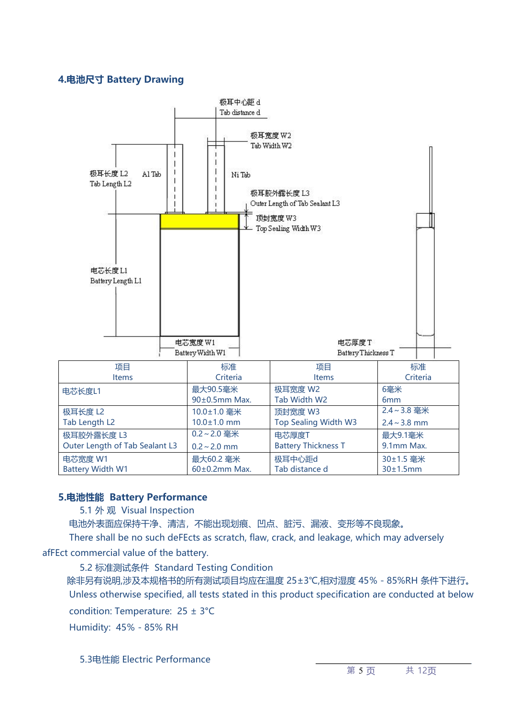#### **4.电池尺寸 Battery Drawing**



#### **5.电池性能 Battery Performance**

5.1 外 观 Visual Inspection

电池外表面应保持干净、清洁,不能出现划痕、凹点、脏污、漏液、变形等不良现象。

There shall be no such deFEcts as scratch, flaw, crack, and leakage, which may adversely

afFEct commercial value of the battery.

5.2 标准测试条件 Standard Testing Condition

除非另有说明,涉及本规格书的所有测试项目均应在温度 25±3℃,相对湿度 45%-85%RH 条件下进行。 Unless otherwise specified, all tests stated in this product specification are conducted at below condition: Temperature: 25 ± 3°C

Humidity: 45%-85% RH

5.3电性能 Electric Performance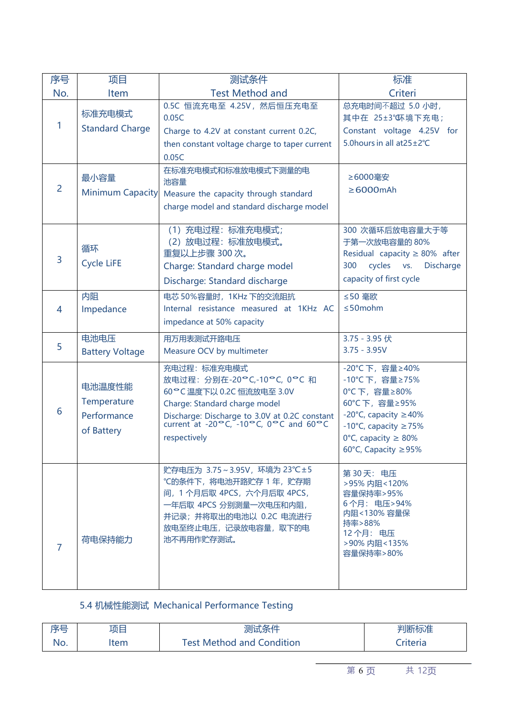| 序号             | 项目                                                 | 测试条件                                                                                                                                                                                                                | 标准                                                                                                                                                                                   |
|----------------|----------------------------------------------------|---------------------------------------------------------------------------------------------------------------------------------------------------------------------------------------------------------------------|--------------------------------------------------------------------------------------------------------------------------------------------------------------------------------------|
| No.            | Item                                               | <b>Test Method and</b>                                                                                                                                                                                              | Criteri                                                                                                                                                                              |
| 1              | 标准充电模式                                             | 0.5C 恒流充电至 4.25V, 然后恒压充电至<br>0.05C                                                                                                                                                                                  | 总充电时间不超过 5.0 小时,<br>其中在 25±3° 环境下充电;                                                                                                                                                 |
|                | <b>Standard Charge</b>                             | Charge to 4.2V at constant current 0.2C,<br>then constant voltage charge to taper current<br>0.05C                                                                                                                  | Constant voltage 4.25V for<br>5.0 hours in all at 25 ± 2°C                                                                                                                           |
| $\overline{2}$ | 最小容量<br><b>Minimum Capacity</b>                    | 在标准充电模式和标准放电模式下测量的电<br>池容量<br>Measure the capacity through standard<br>charge model and standard discharge model                                                                                                    | ≥6000毫安<br>$\geq 6000$ mAh                                                                                                                                                           |
| 3              | 循环<br><b>Cycle LiFE</b>                            | (1) 充电过程: 标准充电模式;<br>(2) 放电过程: 标准放电模式。<br>重复以上步骤 300次。<br>Charge: Standard charge model<br>Discharge: Standard discharge                                                                                            | 300 次循环后放电容量大于等<br>于第一次放电容量的 80%<br>Residual capacity $\geq 80\%$ after<br>cycles vs.<br><b>Discharge</b><br>300<br>capacity of first cycle                                          |
| $\overline{4}$ | 内阻<br>Impedance                                    | 电芯 50%容量时, 1KHz 下的交流阻抗<br>Internal resistance measured at 1KHz AC<br>impedance at 50% capacity                                                                                                                      | ≤50 毫欧<br>$\leq$ 50 mohm                                                                                                                                                             |
| 5              | 电池电压<br><b>Battery Voltage</b>                     | 用万用表测试开路电压<br>Measure OCV by multimeter                                                                                                                                                                             | 3.75 - 3.95 伏<br>$3.75 - 3.95V$                                                                                                                                                      |
| 6              | 电池温度性能<br>Temperature<br>Performance<br>of Battery | 充电过程: 标准充电模式<br>放电过程: 分别在-20°C,-10°C, 0°C 和<br>60°C 温度下以 0.2C 恒流放电至 3.0V<br>Charge: Standard charge model<br>Discharge: Discharge to 3.0V at 0.2C constant<br>current at -20°C, -10°C, 0°C and 60°C<br>respectively | -20°C下, 容量≥40%<br>-10°C下, 容量≥75%<br>0℃下, 容量≥80%<br>60°C下, 容量≥95%<br>-20 $°C$ , capacity $\geq$ 40%<br>-10°C, capacity $\geq$ 75%<br>0°C, capacity $\geq 80\%$<br>60°C, Capacity ≥95% |
| $\overline{7}$ | 荷电保持能力                                             | 贮存电压为 3.75∼3.95V,环境为 23℃±5<br>℃的条件下, 将电池开路贮存 1 年, 贮存期<br>间, 1 个月后取 4PCS, 六个月后取 4PCS,<br>一年后取 4PCS 分别测量一次电压和内阻,<br>并记录; 并将取出的电池以 0.2C 电流进行<br>放电至终止电压, 记录放电容量, 取下的电<br>池不再用作贮存测试。                                    | 第30天: 电压<br>>95% 内阻<120%<br>容量保持率>95%<br>6个月: 电压>94%<br>内阻<130%容量保<br>持率>88%<br>12个月: 电压<br>>90%内阻<135%<br>容量保持率>80%                                                                 |

5.4 机械性能测试 Mechanical Performance Testing

| ≂<br>- | 项目   | .<br>⊧∕≂ /⊥<br>人のほしオマー                                                | <b>NATINE エーマム</b><br>" 芈! [还/」.<br> 似V世 |
|--------|------|-----------------------------------------------------------------------|------------------------------------------|
| No.    | Item | .<br>$\overline{1}$ $\overline{1}$<br>Condition<br>Met<br>thod<br>and | riteria                                  |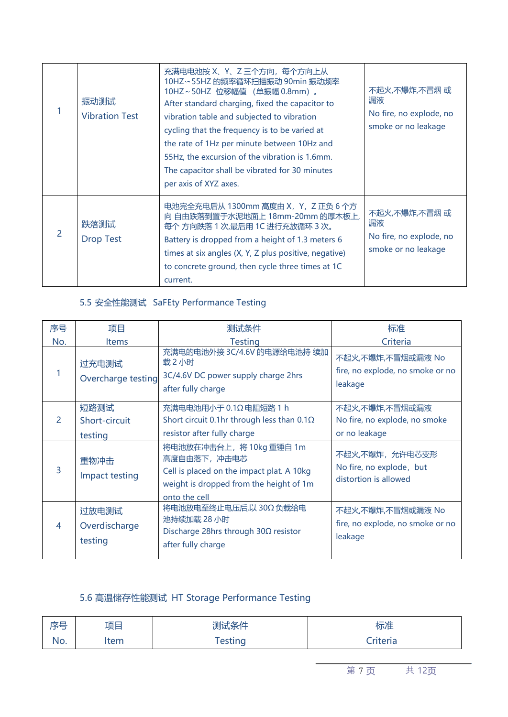|   | 振动测试<br><b>Vibration Test</b> | 充满电电池按 X、Y、Z 三个方向,每个方向上从<br>10HZ~55HZ 的频率循环扫描振动 90min 振动频率<br>10HZ~50HZ 位移幅值 (单振幅 0.8mm)。<br>After standard charging, fixed the capacitor to<br>vibration table and subjected to vibration<br>cycling that the frequency is to be varied at<br>the rate of 1Hz per minute between 10Hz and<br>55Hz, the excursion of the vibration is 1.6mm.<br>The capacitor shall be vibrated for 30 minutes<br>per axis of XYZ axes. | 不起火,不爆炸,不冒烟 或<br>漏液<br>No fire, no explode, no<br>smoke or no leakage |
|---|-------------------------------|-------------------------------------------------------------------------------------------------------------------------------------------------------------------------------------------------------------------------------------------------------------------------------------------------------------------------------------------------------------------------------------------------------------------------|-----------------------------------------------------------------------|
| 2 | 跌落测试<br><b>Drop Test</b>      | 电池完全充电后从 1300mm 高度由 X, Y, Z 正负 6 个方<br>向 自由跌落到置于水泥地面上 18mm-20mm 的厚木板上,<br>每个方向跌落 1 次,最后用 1C 进行充放循环 3 次。<br>Battery is dropped from a height of 1.3 meters 6<br>times at six angles (X, Y, Z plus positive, negative)<br>to concrete ground, then cycle three times at 1C<br>current.                                                                                                                                    | 不起火,不爆炸,不冒烟 或<br>漏液<br>No fire, no explode, no<br>smoke or no leakage |

### 5.5 安全性能测试 SaFEty Performance Testing

| 序号  | 项目                                | 测试条件                                                                                                                                             | 标准                                                                  |
|-----|-----------------------------------|--------------------------------------------------------------------------------------------------------------------------------------------------|---------------------------------------------------------------------|
| No. | <b>Items</b>                      | <b>Testing</b>                                                                                                                                   | Criteria                                                            |
|     | 过充电测试<br>Overcharge testing       | 充满电的电池外接 3C/4.6V 的电源给电池持 续加<br>载2小时<br>3C/4.6V DC power supply charge 2hrs<br>after fully charge                                                 | 不起火,不爆炸,不冒烟或漏液 No<br>fire, no explode, no smoke or no<br>leakage    |
| 2   | 短路测试<br>Short-circuit<br>testing  | 充满电电池用小于 0.1Ω 电阻短路 1 h<br>Short circuit 0.1hr through less than $0.1\Omega$<br>resistor after fully charge                                       | 不起火,不爆炸,不冒烟或漏液<br>No fire, no explode, no smoke<br>or no leakage    |
| 3   | 重物冲击<br>Impact testing            | 将电池放在冲击台上, 将 10kg 重锤自 1m<br>高度自由落下,冲击电芯<br>Cell is placed on the impact plat. A 10kg<br>weight is dropped from the height of 1m<br>onto the cell | 不起火,不爆炸,允许电芯变形<br>No fire, no explode, but<br>distortion is allowed |
| 4   | 过放电测试<br>Overdischarge<br>testing | 将电池放电至终止电压后,以 30Ω 负载给电<br>池持续加载 28 小时<br>Discharge 28hrs through $30\Omega$ resistor<br>after fully charge                                       | 不起火,不爆炸,不冒烟或漏液 No<br>fire, no explode, no smoke or no<br>leakage    |

### 5.6 高温储存性能测试 HT Storage Performance Testing

| 序号  | 项目   | 测试条件   | $+ \rightarrow +$<br>标准 |  |
|-----|------|--------|-------------------------|--|
| No. | ltem | esting | Criteria                |  |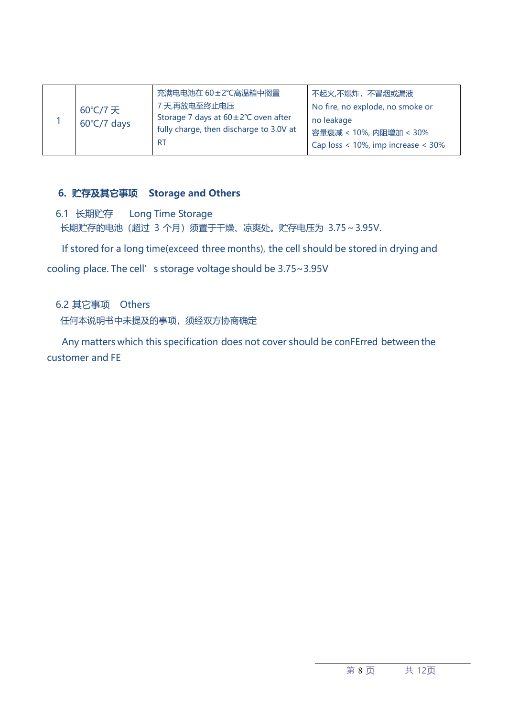|  | 60℃/7天<br>$60^{\circ}$ C/7 days | 充满电电池在 60±2℃高温箱中搁置<br>7天,再放电至终止电压<br>Storage 7 days at 60±2°C oven after<br>fully charge, then discharge to 3.0V at<br><b>RT</b> | 不起火,不爆炸, 不冒烟或漏液<br>No fire, no explode, no smoke or<br>no leakage<br>容量衰减 < 10%, 内阻增加 < 30%<br>Cap loss $<$ 10%, imp increase $<$ 30% |  |
|--|---------------------------------|----------------------------------------------------------------------------------------------------------------------------------|---------------------------------------------------------------------------------------------------------------------------------------|--|
|--|---------------------------------|----------------------------------------------------------------------------------------------------------------------------------|---------------------------------------------------------------------------------------------------------------------------------------|--|

#### **6. 贮存及其它事项 Storage and Others**

6.1 长期贮存 Long Time Storage 长期贮存的电池 (超过 3 个月) 须置于干燥、凉爽处。贮存电压为 3.75~3.95V.

If stored for a long time(exceed three months), the cell should be stored in drying and

cooling place. The cell's storage voltage should be 3.75~3.95V

6.2 其它事项 Others

任何本说明书中未提及的事项, 须经双方协商确定

Any matters which this specification does not cover should be conFErred between the customer and FE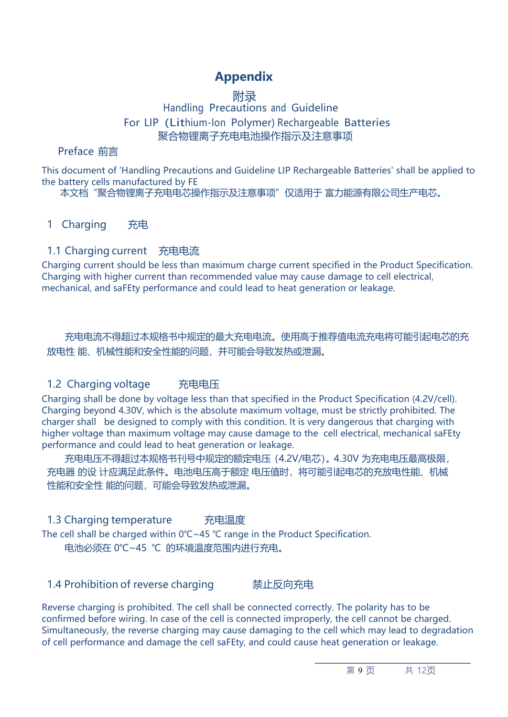### **Appendix**

#### **附录** Handling Precautions and Guideline For LIP (Lithium-Ion Polymer) Rechargeable Batteries 聚合物锂离子充电电池操作指示及注意事项

#### Preface 前言

This document of 'Handling Precautions and Guideline LIP Rechargeable Batteries' shall be applied to the battery cells manufactured by FE

本文档"聚合物锂离子充电电芯操作指示及注意事项"仅适用于 富力能源有限公司生产电芯。

#### 1 Charging 充电

#### 1.1 Charging current 充电电流

Charging current should be less than maximum charge current specified in the Product Specification. Charging with higher current than recommended value may cause damage to cell electrical, mechanical, and saFEty performance and could lead to heat generation or leakage.

充电电流不得超过本规格书中规定的最大充电电流。使用高于推荐值电流充电将可能引起电芯的充 放电性 能、机械性能和安全性能的问题,并可能会导致发热或泄漏。

#### 1.2 Charging voltage 充电电压

Charging shall be done by voltage less than that specified in the Product Specification (4.2V/cell). Charging beyond 4.30V, which is the absolute maximum voltage, must be strictly prohibited. The charger shall be designed to comply with this condition. It is very dangerous that charging with higher voltage than maximum voltage may cause damage to the cell electrical, mechanical saFEty performance and could lead to heat generation or leakage.

充电电压不得超过本规格书刊号中规定的额定电压(4.2V/电芯)。4.30V 为充电电压最高极限, 充电器 的设 计应满足此条件。电池电压高于额定 电压值时,将可能引起电芯的充放电性能、机械 性能和安全性 能的问题,可能会导致发热或泄漏。

1.3 Charging temperature 充电温度

The cell shall be charged within 0℃~45 ℃ range in the Product Specification. 电池必须在 0℃~45 ℃ 的环境温度范围内进行充电。

#### 1.4 Prohibition of reverse charging 禁止反向充电

Reverse charging is prohibited. The cell shall be connected correctly. The polarity has to be confirmed before wiring. In case of the cell is connected improperly, the cell cannot be charged. Simultaneously, the reverse charging may cause damaging to the cell which may lead to degradation of cell performance and damage the cell saFEty, and could cause heat generation or leakage.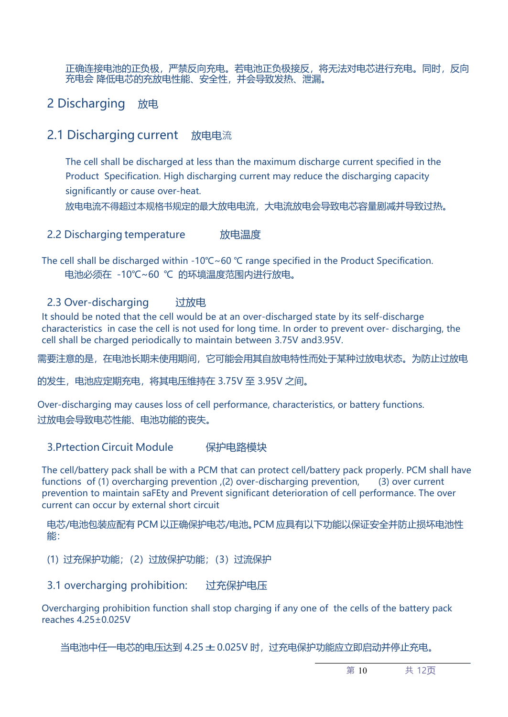正确连接电池的正负极,严禁反向充电。若电池正负极接反,将无法对电芯进行充电。同时,反向 充电会 降低电芯的充放电性能、安全性,并会导致发热、泄漏。

2 Discharging 放电

#### 2.1 Discharging current 放电电流

The cell shall be discharged at less than the maximum discharge current specified in the Product Specification. High discharging current may reduce the discharging capacity significantly or cause over-heat.

放电电流不得超过本规格书规定的最大放电电流,大电流放电会导致电芯容量剧减并导致过热。

#### 2.2 Discharging temperature 放电温度

The cell shall be discharged within -10℃~60 ℃ range specified in the Product Specification. 电池必须在 -10℃~60 ℃ 的环境温度范围内进行放电。

#### 2.3 Over-discharging 过放电

It should be noted that the cell would be at an over-discharged state by its self-discharge characteristics in case the cell is not used for long time. In order to prevent over- discharging, the cell shall be charged periodically to maintain between 3.75V and3.95V.

需要注意的是,在电池长期未使用期间,它可能会用其自放电特性而处于某种过放电状态。为防止过放电

的发生,电池应定期充电,将其电压维持在 3.75V 至 3.95V 之间。

Over-discharging may causes loss of cell performance, characteristics, or battery functions. 过放电会导致电芯性能、电池功能的丧失。

#### 3.Prtection Circuit Module 保护电路模块

The cell/battery pack shall be with a PCM that can protect cell/battery pack properly. PCM shall have functions of (1) overcharging prevention ,(2) over-discharging prevention, (3) over current prevention to maintain saFEty and Prevent significant deterioration of cell performance. The over current can occur by external short circuit

电芯/电池包装应配有 PCM 以正确保护电芯/电池。PCM 应具有以下功能以保证安全并防止损坏电池性 **能: 2008年10月11日 1月11日 1月11日 1月11日 1月11日 1月11日 1月11日 1月11日 1月11日 1月11日 1月11日 1月11日 1月11日 1月11日 1月11日 1月11日 1月11日** 

(1) 过充保护功能;(2)过放保护功能;(3)过流保护

3.1 overcharging prohibition: 过充保护电压

Overcharging prohibition function shall stop charging if any one of the cells of the battery pack reaches 4.25±0.025V

当电池中任一电芯的电压达到 4.25 ± 0.025V 时, 过充电保护功能应立即启动并停止充电。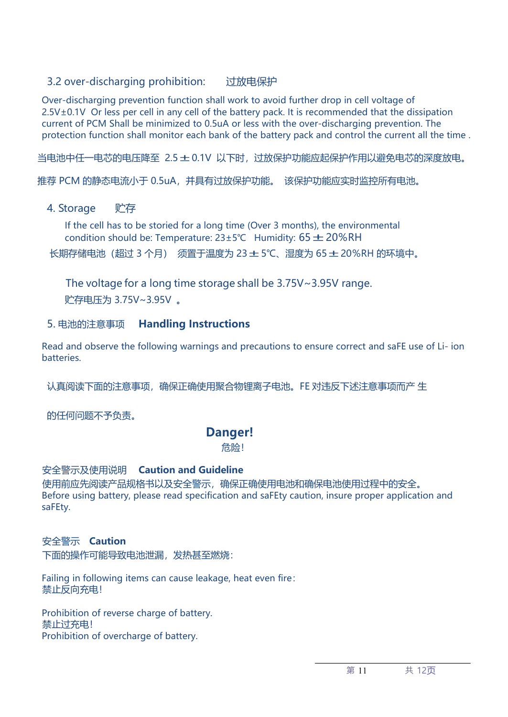#### 3.2 over-discharging prohibition: 过放电保护

Over-discharging prevention function shall work to avoid further drop in cell voltage of 2.5V±0.1V Or less per cell in any cell of the battery pack. It is recommended that the dissipation current of PCM Shall be minimized to 0.5uA or less with the over-discharging prevention. The protection function shall monitor each bank of the battery pack and control the current all the time .

当电池中任一电芯的电压降至 2.5±0.1V 以下时,过放保护功能应起保护作用以避免电芯的深度放电。

推荐 PCM 的静态电流小于 0.5uA,并具有过放保护功能。 该保护功能应实时监控所有电池。

#### 4. Storage 贮存

If the cell has to be storied for a long time (Over 3 months), the environmental condition should be: Temperature:  $23±5°C$  Humidity:  $65±20%RH$ 长期存储电池(超过 <sup>3</sup> 个月) 须置于温度为 23±5℃、湿度为 65±20%RH 的环境中。

The voltage for a long time storage shall be 3.75V~3.95V range. 贮存电压为 3.75V~3.95V 。

#### 5. 电池的注意事项 **Handling Instructions**

Read and observe the following warnings and precautions to ensure correct and saFE use of Li- ion **batteries** 

认真阅读下面的注意事项,确保正确使用聚合物锂离子电池。FE 对违反下述注意事项而产 生

的任何问题不予负责。

#### **Danger!**

危险!

#### 安全警示及使用说明 **Caution and Guideline**

使用前应先阅读产品规格书以及安全警示,确保正确使用电池和确保电池使用过程中的安全。 Before using battery, please read specification and saFEty caution, insure proper application and saFEty.

#### 安全警示 **Caution**

下面的操作可能导致电池泄漏,发热甚至燃烧:

Failing in following items can cause leakage, heat even fire: 禁止反向充电!

Prohibition of reverse charge of battery. 禁止过充电! Prohibition of overcharge of battery.